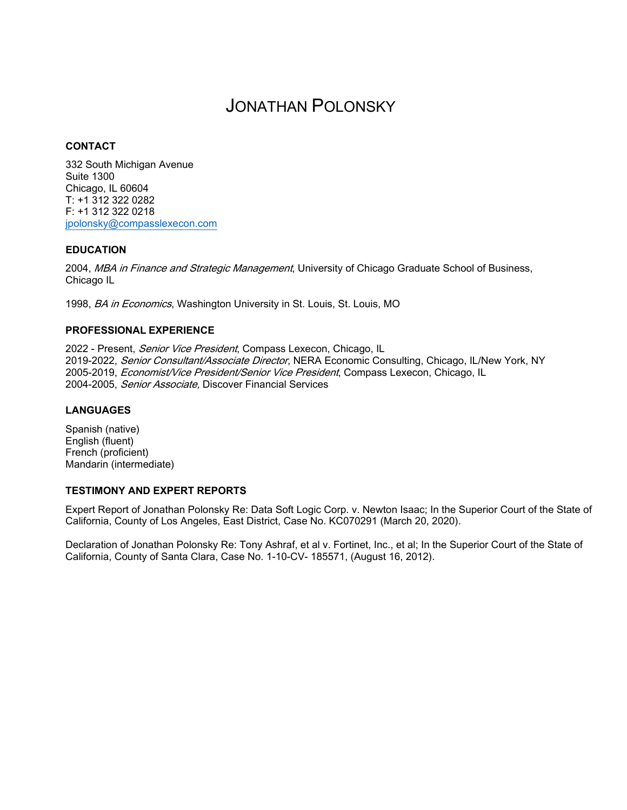# JONATHAN POLONSKY

## **CONTACT**

332 South Michigan Avenue Suite 1300 Chicago, IL 60604 T: +1 312 322 0282 F: +1 312 322 0218 [jpolonsky@compasslexecon.com](mailto:jpolonsky@compasslexecon.com)

## **EDUCATION**

2004, MBA in Finance and Strategic Management, University of Chicago Graduate School of Business, Chicago IL

1998, BA in Economics, Washington University in St. Louis, St. Louis, MO

## **PROFESSIONAL EXPERIENCE**

2022 - Present, Senior Vice President, Compass Lexecon, Chicago, IL 2019-2022, Senior Consultant/Associate Director, NERA Economic Consulting, Chicago, IL/New York, NY 2005-2019, Economist/Vice President/Senior Vice President, Compass Lexecon, Chicago, IL 2004-2005, Senior Associate, Discover Financial Services

## **LANGUAGES**

Spanish (native) English (fluent) French (proficient) Mandarin (intermediate)

#### **TESTIMONY AND EXPERT REPORTS**

Expert Report of Jonathan Polonsky Re: Data Soft Logic Corp. v. Newton Isaac; In the Superior Court of the State of California, County of Los Angeles, East District, Case No. KC070291 (March 20, 2020).

Declaration of Jonathan Polonsky Re: Tony Ashraf, et al v. Fortinet, Inc., et al; In the Superior Court of the State of California, County of Santa Clara, Case No. 1-10-CV- 185571, (August 16, 2012).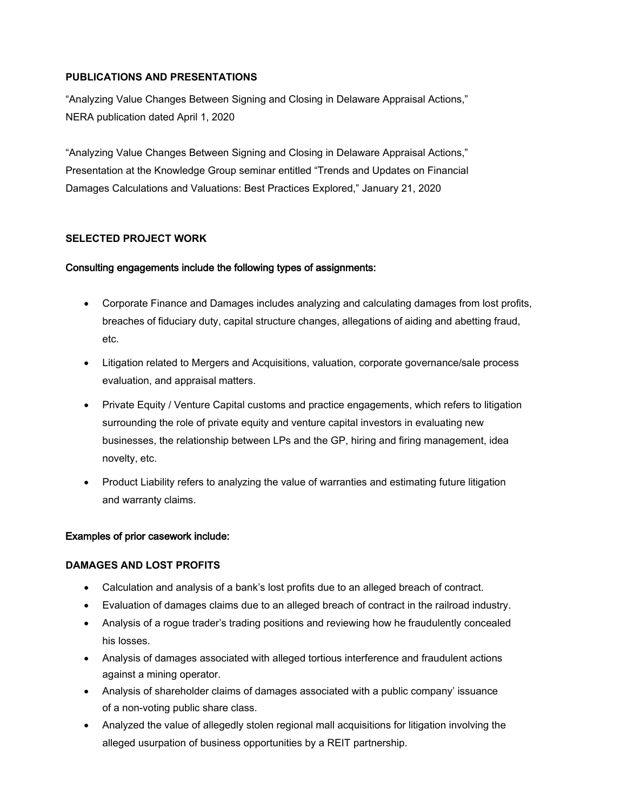## **PUBLICATIONS AND PRESENTATIONS**

"Analyzing Value Changes Between Signing and Closing in Delaware Appraisal Actions," NERA publication dated April 1, 2020

"Analyzing Value Changes Between Signing and Closing in Delaware Appraisal Actions," Presentation at the Knowledge Group seminar entitled "Trends and Updates on Financial Damages Calculations and Valuations: Best Practices Explored," January 21, 2020

## **SELECTED PROJECT WORK**

## Consulting engagements include the following types of assignments:

- Corporate Finance and Damages includes analyzing and calculating damages from lost profits, breaches of fiduciary duty, capital structure changes, allegations of aiding and abetting fraud, etc.
- Litigation related to Mergers and Acquisitions, valuation, corporate governance/sale process evaluation, and appraisal matters.
- Private Equity / Venture Capital customs and practice engagements, which refers to litigation surrounding the role of private equity and venture capital investors in evaluating new businesses, the relationship between LPs and the GP, hiring and firing management, idea novelty, etc.
- Product Liability refers to analyzing the value of warranties and estimating future litigation and warranty claims.

## Examples of prior casework include:

## **DAMAGES AND LOST PROFITS**

- Calculation and analysis of a bank's lost profits due to an alleged breach of contract.
- Evaluation of damages claims due to an alleged breach of contract in the railroad industry.
- Analysis of a rogue trader's trading positions and reviewing how he fraudulently concealed his losses.
- Analysis of damages associated with alleged tortious interference and fraudulent actions against a mining operator.
- Analysis of shareholder claims of damages associated with a public company' issuance of a non-voting public share class.
- Analyzed the value of allegedly stolen regional mall acquisitions for litigation involving the alleged usurpation of business opportunities by a REIT partnership.